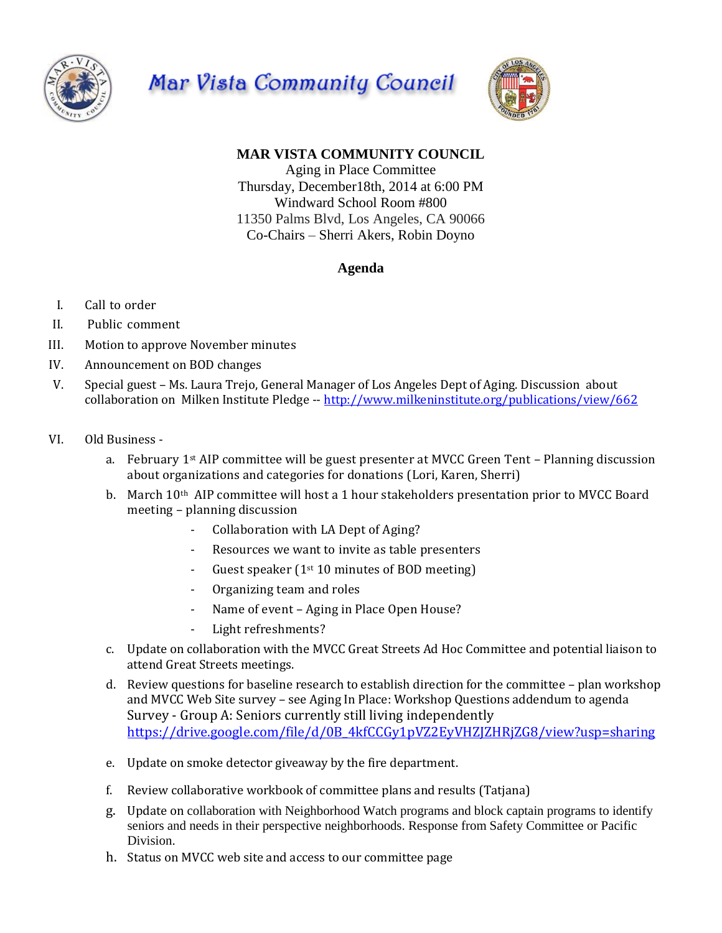





## **MAR VISTA COMMUNITY COUNCIL**

Aging in Place Committee Thursday, December18th, 2014 at 6:00 PM Windward School Room #800 11350 Palms Blvd, Los Angeles, CA 90066 Co-Chairs – Sherri Akers, Robin Doyno

## **Agenda**

- I. Call to order
- II. Public comment
- III. Motion to approve November minutes
- IV. Announcement on BOD changes
- V. Special guest Ms. Laura Trejo, General Manager of Los Angeles Dept of Aging. Discussion about collaboration on Milken Institute Pledge -- <http://www.milkeninstitute.org/publications/view/662>
- VI. Old Business
	- a. February  $1<sup>st</sup>$  AIP committee will be guest presenter at MVCC Green Tent Planning discussion about organizations and categories for donations (Lori, Karen, Sherri)
	- b. March 10th AIP committee will host a 1 hour stakeholders presentation prior to MVCC Board meeting – planning discussion
		- Collaboration with LA Dept of Aging?
		- Resources we want to invite as table presenters
		- Guest speaker ( $1<sup>st</sup> 10$  minutes of BOD meeting)
		- Organizing team and roles
		- Name of event Aging in Place Open House?
		- Light refreshments?
	- c. Update on collaboration with the MVCC Great Streets Ad Hoc Committee and potential liaison to attend Great Streets meetings.
	- d. Review questions for baseline research to establish direction for the committee plan workshop and MVCC Web Site survey – see Aging In Place: Workshop Questions addendum to agenda Survey - Group A: Seniors currently still living independently [https://drive.google.com/file/d/0B\\_4kfCCGy1pVZ2EyVHZJZHRjZG8/view?usp=sharing](https://drive.google.com/file/d/0B_4kfCCGy1pVZ2EyVHZJZHRjZG8/view?usp=sharing)
	- e. Update on smoke detector giveaway by the fire department.
	- f. Review collaborative workbook of committee plans and results (Tatjana)
	- g. Update on collaboration with Neighborhood Watch programs and block captain programs to identify seniors and needs in their perspective neighborhoods. Response from Safety Committee or Pacific Division.
	- h. Status on MVCC web site and access to our committee page